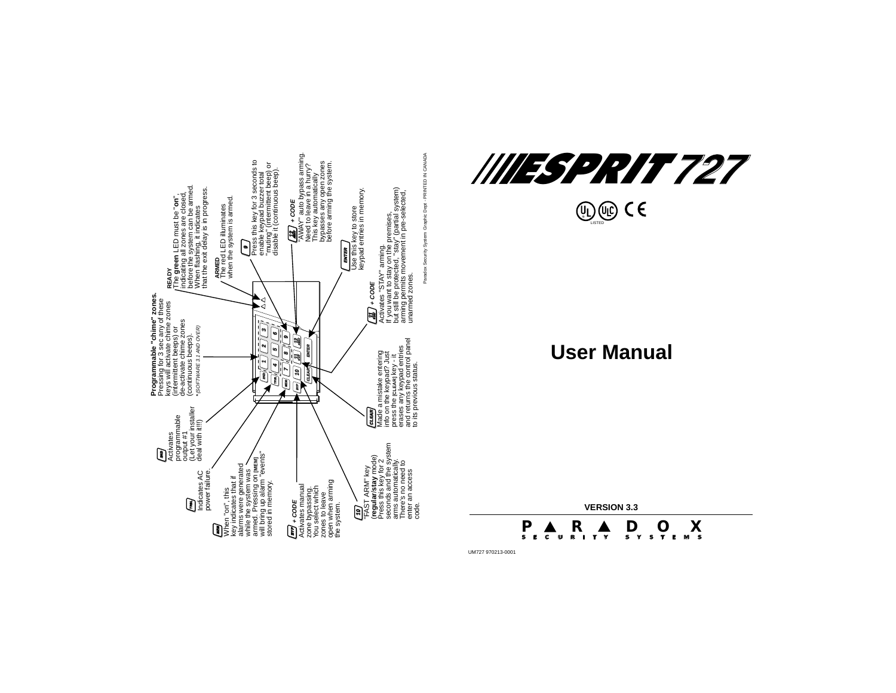



**U** LISTED

# **User Manual**

**VERSION 3.3**

**S E C U R I T YP R DOXSYSTEMS**

UM727 970213-0001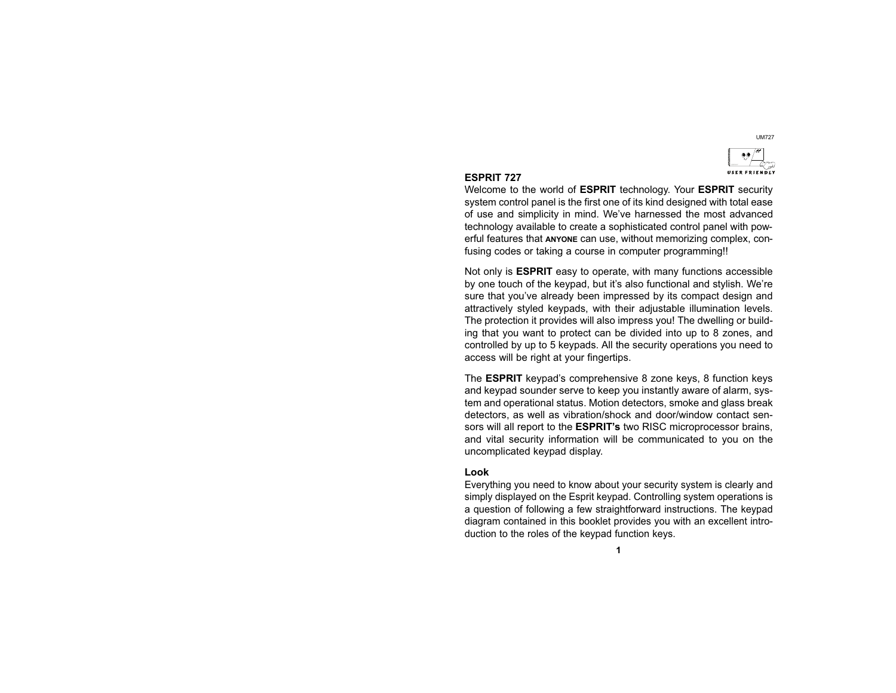

#### ESPRIT 727

Welcome to the world of ESPRIT technology. Your ESPRIT security system control panel is the first one of its kind designed with total ease of use and simplicity in mind. We've harnessed the most advanced technology available to create a sophisticated control panel with powerful features that ANYONE can use, without memorizing complex, confusing codes or taking a course in computer programming!!

Not only is ESPRIT easy to operate, with many functions accessible by one touch of the keypad, but it's also functional and stylish. We're sure that you've already been impressed by its compact design and attractively styled keypads, with their adjustable illumination levels. The protection it provides will also impress you! The dwelling or building that you want to protect can be divided into up to 8 zones, and controlled by up to 5 keypads. All the security operations you need to access will be right at your fingertips.

The **ESPRIT** keypad's comprehensive 8 zone keys, 8 function keys and keypad sounder serve to keep you instantly aware of alarm, system and operational status. Motion detectors, smoke and glass break detectors, as well as vibration/shock and door/window contact sensors will all report to the **ESPRIT's** two RISC microprocessor brains, and vital security information will be communicated to you on the uncomplicated keypad display.

#### Look

Everything you need to know about your security system is clearly and simply displayed on the Esprit keypad. Controlling system operations is a question of following a few straightforward instructions. The keypad diagram contained in this booklet provides you with an excellent introduction to the roles of the keypad function keys.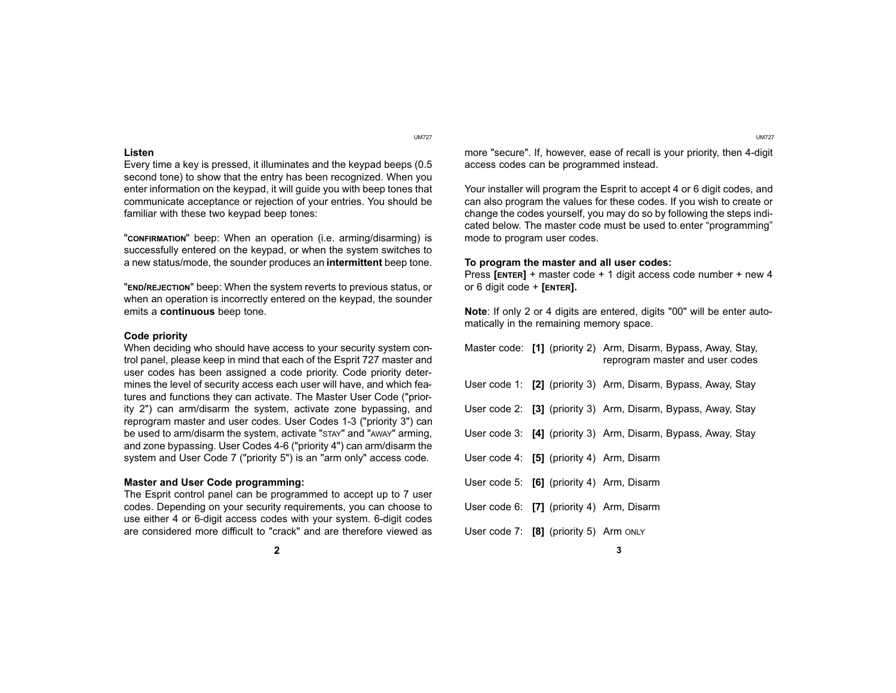#### Listen

Every time a key is pressed, it illuminates and the keypad beeps (0.5 second tone) to show that the entry has been recognized. When you enter information on the keypad, it will guide you with beep tones that communicate acceptance or rejection of your entries. You should be familiar with these two keypad beep tones:

"CONFIRMATION" beep: When an operation (i.e. arming/disarming) is successfully entered on the keypad, or when the system switches to a new status/mode, the sounder produces an intermittent beep tone.

"END/REJECTION" beep: When the system reverts to previous status, or when an operation is incorrectly entered on the keypad, the sounder emits a continuous beep tone.

#### Code priority

When deciding who should have access to your security system control panel, please keep in mind that each of the Esprit 727 master and user codes has been assigned a code priority. Code priority determines the level of security access each user will have, and which features and functions they can activate. The Master User Code ("priority 2") can arm/disarm the system, activate zone bypassing, and reprogram master and user codes. User Codes 1-3 ("priority 3") can be used to arm/disarm the system, activate "STAY" and "AWAY" arming, and zone bypassing. User Codes 4-6 ("priority 4") can arm/disarm the system and User Code 7 ("priority 5") is an "arm only" access code.

#### Master and User Code programming:

The Esprit control panel can be programmed to accept up to 7 user codes. Depending on your security requirements, you can choose to use either 4 or 6-digit access codes with your system. 6-digit codes are considered more difficult to "crack" and are therefore viewed as

UM727 UM727

more "secure". If, however, ease of recall is your priority, then 4-digit access codes can be programmed instead.

Your installer will program the Esprit to accept 4 or 6 digit codes, and can also program the values for these codes. If you wish to create or change the codes yourself, you may do so by following the steps indicated below. The master code must be used to enter "programming" mode to program user codes.

#### To program the master and all user codes:

Press [ENTER] + master code + 1 digit access code number + new 4 or 6 digit code + [ENTER].

Note: If only 2 or 4 digits are entered, digits "00" will be enter automatically in the remaining memory space.

|  |  |                                             | Master code: [1] (priority 2) Arm, Disarm, Bypass, Away, Stay,<br>reprogram master and user codes |  |  |  |
|--|--|---------------------------------------------|---------------------------------------------------------------------------------------------------|--|--|--|
|  |  |                                             | User code 1: [2] (priority 3) Arm, Disarm, Bypass, Away, Stay                                     |  |  |  |
|  |  |                                             | User code 2: [3] (priority 3) Arm, Disarm, Bypass, Away, Stay                                     |  |  |  |
|  |  |                                             | User code 3: [4] (priority 3) Arm, Disarm, Bypass, Away, Stay                                     |  |  |  |
|  |  | User code 4: $[5]$ (priority 4) Arm, Disarm |                                                                                                   |  |  |  |
|  |  | User code 5: $[6]$ (priority 4) Arm, Disarm |                                                                                                   |  |  |  |
|  |  | User code 6: $[7]$ (priority 4) Arm, Disarm |                                                                                                   |  |  |  |
|  |  | User code 7: $[8]$ (priority 5) Arm ONLY    |                                                                                                   |  |  |  |

2  $\sim$  3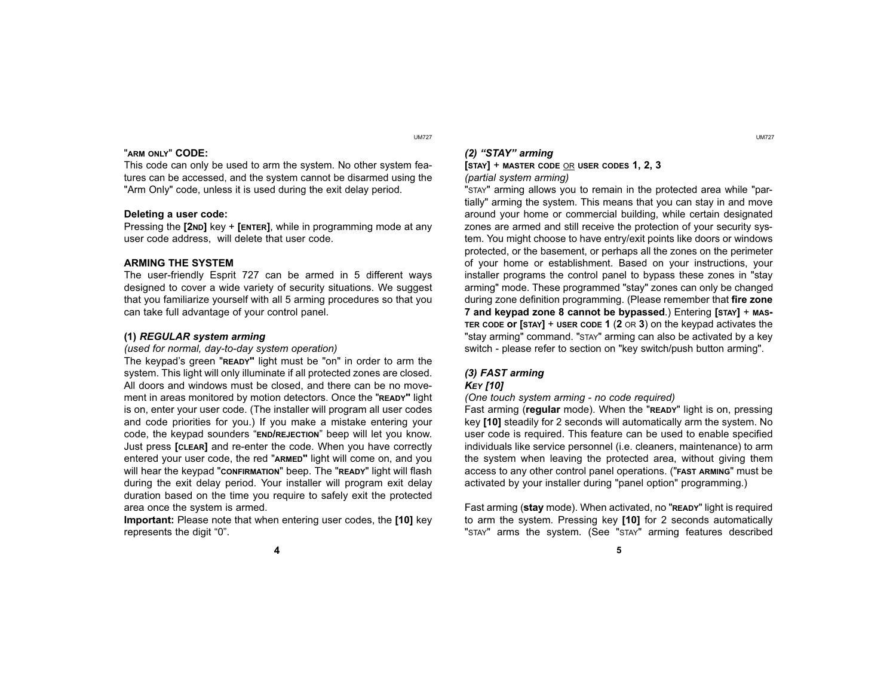#### "ARM ONLY" CODE:

This code can only be used to arm the system. No other system features can be accessed, and the system cannot be disarmed using the "Arm Only" code, unless it is used during the exit delay period.

#### Deleting a user code:

Pressing the [2ND] key + [ENTER], while in programming mode at any user code address, will delete that user code.

#### ARMING THE SYSTEM

The user-friendly Esprit 727 can be armed in 5 different ways designed to cover a wide variety of security situations. We suggest that you familiarize yourself with all 5 arming procedures so that you can take full advantage of your control panel.

#### (1) REGULAR system arming

#### (used for normal, day-to-day system operation)

The keypad's green "READY" light must be "on" in order to arm the system. This light will only illuminate if all protected zones are closed. All doors and windows must be closed, and there can be no movement in areas monitored by motion detectors. Once the "READY" light is on, enter your user code. (The installer will program all user codes and code priorities for you.) If you make a mistake entering your code, the keypad sounders "END/REJECTION" beep will let you know. Just press [CLEAR] and re-enter the code. When you have correctly entered your user code, the red "ARMED" light will come on, and you will hear the keypad "CONFIRMATION" beep. The "READY" light will flash during the exit delay period. Your installer will program exit delay duration based on the time you require to safely exit the protected area once the system is armed.

Important: Please note that when entering user codes, the [10] key represents the digit "0".

UM727 UM727

## $(2)$  "STAY" arming

 $[$ STAY $]$  + MASTER CODE OR USER CODES 1, 2, 3 (partial system arming)

"STAY" arming allows you to remain in the protected area while "partially" arming the system. This means that you can stay in and move around your home or commercial building, while certain designated zones are armed and still receive the protection of your security system. You might choose to have entry/exit points like doors or windows protected, or the basement, or perhaps all the zones on the perimeter of your home or establishment. Based on your instructions, your installer programs the control panel to bypass these zones in "stay arming" mode. These programmed "stay" zones can only be changed during zone definition programming. (Please remember that fire zone 7 and keypad zone 8 cannot be bypassed.) Entering [STAY] + MAS-TER CODE OF  $S$ TAY] + USER CODE 1 (2 OR 3) on the keypad activates the "stay arming" command. "STAY" arming can also be activated by a key switch - please refer to section on "key switch/push button arming".

### (3) FAST arming

### **KEY [10]**

(One touch system arming - no code required)

Fast arming (regular mode). When the "READY" light is on, pressing key [10] steadily for 2 seconds will automatically arm the system. No user code is required. This feature can be used to enable specified individuals like service personnel (i.e. cleaners, maintenance) to arm the system when leaving the protected area, without giving them access to any other control panel operations. ("FAST ARMING" must be activated by your installer during "panel option" programming.)

Fast arming (stay mode). When activated, no "READY" light is required to arm the system. Pressing key [10] for 2 seconds automatically "STAY" arms the system. (See "STAY" arming features described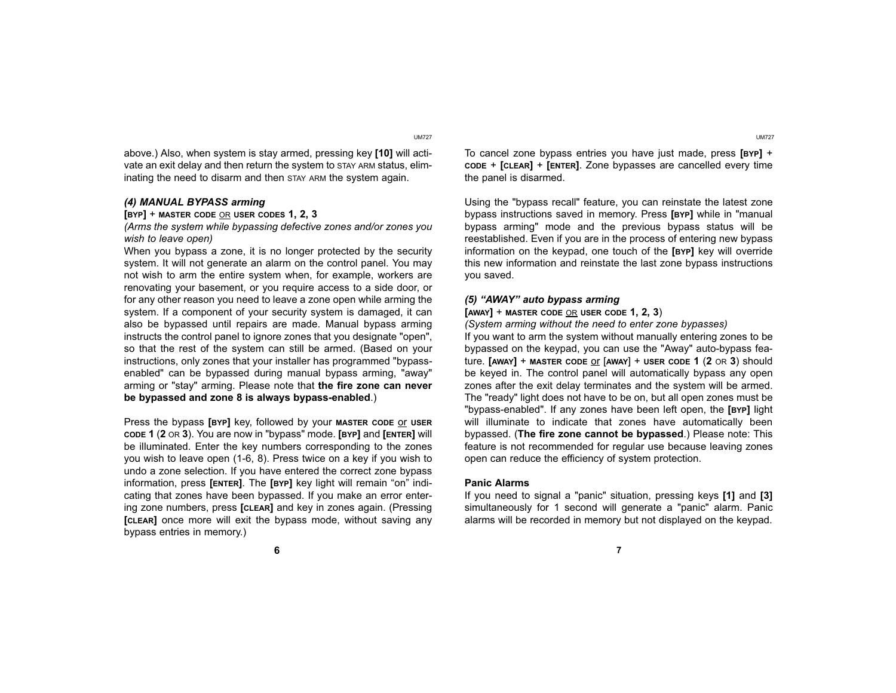UM727 UM727

above.) Also, when system is stay armed, pressing key [10] will activate an exit delay and then return the system to STAY ARM status, eliminating the need to disarm and then STAY ARM the system again.

#### (4) MANUAL BYPASS arming

#### $[BYP]$  + MASTER CODE OR USER CODES 1, 2, 3

(Arms the system while bypassing defective zones and/or zones you wish to leave open)

When you bypass a zone, it is no longer protected by the security system. It will not generate an alarm on the control panel. You may not wish to arm the entire system when, for example, workers are renovating your basement, or you require access to a side door, or for any other reason you need to leave a zone open while arming the system. If a component of your security system is damaged, it can also be bypassed until repairs are made. Manual bypass arming instructs the control panel to ignore zones that you designate "open", so that the rest of the system can still be armed. (Based on your instructions, only zones that your installer has programmed "bypassenabled" can be bypassed during manual bypass arming, "away" arming or "stay" arming. Please note that the fire zone can never be bypassed and zone 8 is always bypass-enabled.)

Press the bypass [BYP] key, followed by your MASTER CODE OF USER CODE 1 (2 OR 3). You are now in "bypass" mode. [BYP] and [ENTER] will be illuminated. Enter the key numbers corresponding to the zones you wish to leave open (1-6, 8). Press twice on a key if you wish to undo a zone selection. If you have entered the correct zone bypass information, press [ENTER]. The [BYP] key light will remain "on" indicating that zones have been bypassed. If you make an error entering zone numbers, press [CLEAR] and key in zones again. (Pressing [CLEAR] once more will exit the bypass mode, without saving any bypass entries in memory.)

To cancel zone bypass entries you have just made, press [BYP] <sup>+</sup> CODE <sup>+</sup>[CLEAR] <sup>+</sup>[ENTER]. Zone bypasses are cancelled every time the panel is disarmed.

Using the "bypass recall" feature, you can reinstate the latest zone bypass instructions saved in memory. Press [BYP] while in "manual bypass arming" mode and the previous bypass status will be reestablished. Even if you are in the process of entering new bypass information on the keypad, one touch of the [BYP] key will override this new information and reinstate the last zone bypass instructions you saved.

#### (5) "AWAY" auto bypass arming

#### $[AWAY]$  + MASTER CODE OR USER CODE 1, 2, 3)

(System arming without the need to enter zone bypasses)

If you want to arm the system without manually entering zones to be bypassed on the keypad, you can use the "Away" auto-bypass feature. [AWAY] + MASTER CODE or [AWAY] + USER CODE 1 (2 OR 3) should be keyed in. The control panel will automatically bypass any open zones after the exit delay terminates and the system will be armed. The "ready" light does not have to be on, but all open zones must be "bypass-enabled". If any zones have been left open, the [BYP] light will illuminate to indicate that zones have automatically been bypassed. (The fire zone cannot be bypassed.) Please note: This feature is not recommended for regular use because leaving zones open can reduce the efficiency of system protection.

#### Panic Alarms

If you need to signal a "panic" situation, pressing keys [1] and [3] simultaneously for 1 second will generate a "panic" alarm. Panic alarms will be recorded in memory but not displayed on the keypad.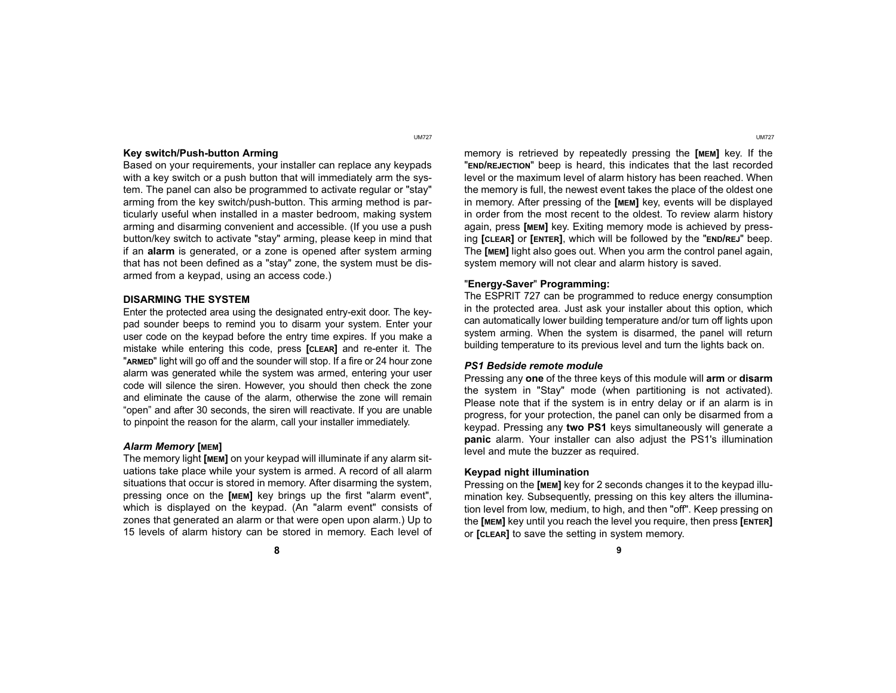#### Key switch/Push-button Arming

Based on your requirements, your installer can replace any keypads with a key switch or a push button that will immediately arm the system. The panel can also be programmed to activate regular or "stay" arming from the key switch/push-button. This arming method is particularly useful when installed in a master bedroom, making system arming and disarming convenient and accessible. (If you use a push button/key switch to activate "stay" arming, please keep in mind that if an alarm is generated, or a zone is opened after system arming that has not been defined as a "stay" zone, the system must be disarmed from a keypad, using an access code.)

#### DISARMING THE SYSTEM

Enter the protected area using the designated entry-exit door. The keypad sounder beeps to remind you to disarm your system. Enter your user code on the keypad before the entry time expires. If you make a mistake while entering this code, press [CLEAR] and re-enter it. The "ARMED" light will go off and the sounder will stop. If a fire or 24 hour zone alarm was generated while the system was armed, entering your user code will silence the siren. However, you should then check the zone and eliminate the cause of the alarm, otherwise the zone will remain "open" and after 30 seconds, the siren will reactivate. If you are unable to pinpoint the reason for the alarm, call your installer immediately.

#### Alarm Memory [MEM]

The memory light [MEM] on your keypad will illuminate if any alarm situations take place while your system is armed. A record of all alarm situations that occur is stored in memory. After disarming the system, pressing once on the [MEM] key brings up the first "alarm event", which is displayed on the keypad. (An "alarm event" consists of zones that generated an alarm or that were open upon alarm.) Up to 15 levels of alarm history can be stored in memory. Each level of

memory is retrieved by repeatedly pressing the [MEM] key. If the "END/REJECTION" beep is heard, this indicates that the last recorded level or the maximum level of alarm history has been reached. When the memory is full, the newest event takes the place of the oldest one in memory. After pressing of the [MEM] key, events will be displayed in order from the most recent to the oldest. To review alarm history again, press [MEM] key. Exiting memory mode is achieved by pressing [CLEAR] or [ENTER], which will be followed by the "END/REJ" beep. The [MEM] light also goes out. When you arm the control panel again, system memory will not clear and alarm history is saved.

#### "Energy-Saver" Programming:

The ESPRIT 727 can be programmed to reduce energy consumption in the protected area. Just ask your installer about this option, which can automatically lower building temperature and/or turn off lights upon system arming. When the system is disarmed, the panel will return building temperature to its previous level and turn the lights back on.

#### PS1 Bedside remote module

Pressing any one of the three keys of this module will arm or disarm the system in "Stay" mode (when partitioning is not activated). Please note that if the system is in entry delay or if an alarm is in progress, for your protection, the panel can only be disarmed from a keypad. Pressing any two PS1 keys simultaneously will generate a panic alarm. Your installer can also adjust the PS1's illumination level and mute the buzzer as required.

#### Keypad night illumination

Pressing on the [MEM] key for 2 seconds changes it to the keypad illumination key. Subsequently, pressing on this key alters the illumination level from low, medium, to high, and then "off". Keep pressing on the [MEM] key until you reach the level you require, then press [ENTER] or [CLEAR] to save the setting in system memory.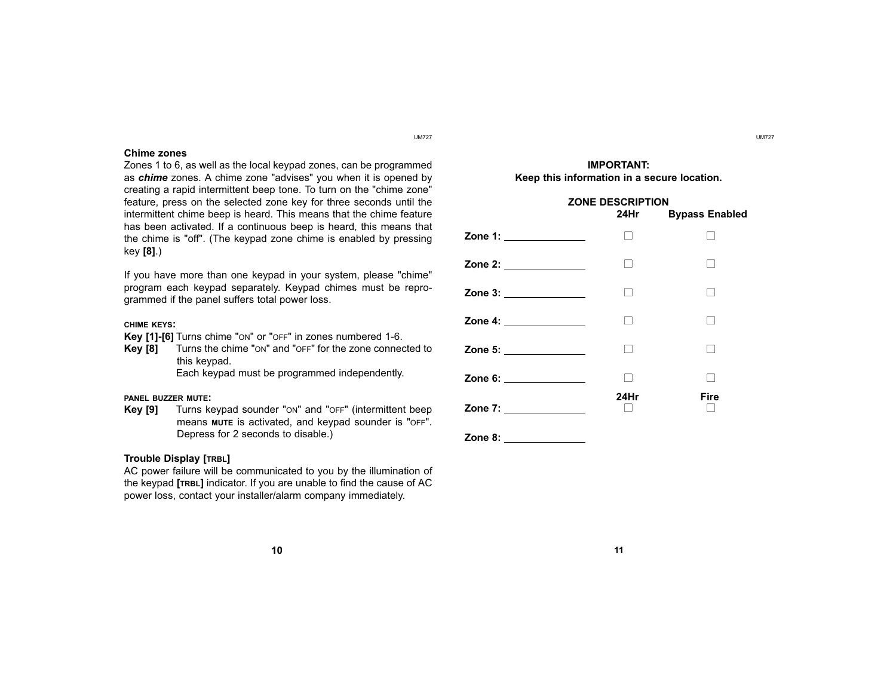#### Chime zones

Zones 1 to 6, as well as the local keypad zones, can be programmed as *chime* zones. A chime zone "advises" you when it is opened by creating a rapid intermittent beep tone. To turn on the "chime zone" feature, press on the selected zone key for three seconds until the intermittent chime beep is heard. This means that the chime feature has been activated. If a continuous beep is heard, this means that the chime is "off". (The keypad zone chime is enabled by pressing key [8].)

If you have more than one keypad in your system, please "chime" program each keypad separately. Keypad chimes must be reprogrammed if the panel suffers total power loss.

#### CHIME KEYS:

Key [1]-[6] Turns chime "ON" or "OFF" in zones numbered 1-6.

Key [8] Turns the chime "ON" and "OFF" for the zone connected to this keypad.

Each keypad must be programmed independently.

#### PANEL BUZZER MUTE:

Key [9] Turns keypad sounder "ON" and "OFF" (intermittent beep means MUTE is activated, and keypad sounder is "OFF". Depress for 2 seconds to disable.)

#### Trouble Display [TRBL]

AC power failure will be communicated to you by the illumination of the keypad [TRBL] indicator. If you are unable to find the cause of AC power loss, contact your installer/alarm company immediately.

#### IMPORTANT: Keep this information in a secure location.

#### ZONE DESCRIPTION 24Hr Bypass Enabled



Zone 8:

#### 10  $\hspace{1.5cm}$  11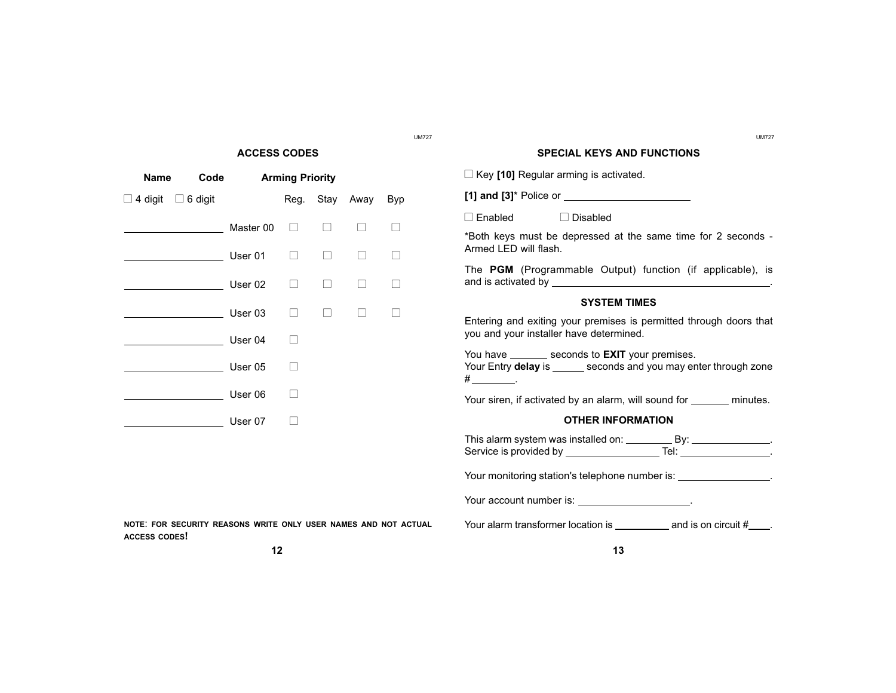#### ACCESS CODES

| Name<br>Code           |  | <b>Arming Priority</b> |  |  |                |            |  |
|------------------------|--|------------------------|--|--|----------------|------------|--|
| 4 digit □ 6 digit<br>⊔ |  |                        |  |  | Reg. Stay Away | <b>Byp</b> |  |
|                        |  | Master 00              |  |  |                |            |  |
|                        |  | User 01                |  |  |                |            |  |
|                        |  | User 02                |  |  |                |            |  |
|                        |  | User 03                |  |  |                |            |  |
|                        |  | User 04                |  |  |                |            |  |
|                        |  | User 05                |  |  |                |            |  |
|                        |  | User 06                |  |  |                |            |  |
|                        |  | User 07                |  |  |                |            |  |

UM727 UM727

#### SPECIAL KEYS AND FUNCTIONS

 $\Box$  Key [10] Regular arming is activated.

[1] and [3]\* Police or

 $\Box$  Enabled  $\Box$  Disabled

\*Both keys must be depressed at the same time for 2 seconds - Armed LED will flash.

The PGM (Programmable Output) function (if applicable), is and is activated by  $\blacksquare$ 

#### SYSTEM TIMES

Entering and exiting your premises is permitted through doors that you and your installer have determined.

You have \_\_\_\_\_\_\_\_ seconds to **EXIT** your premises. Your Entry delay is \_\_\_\_\_\_ seconds and you may enter through zone  $\#$   $\qquad$ .

Your siren, if activated by an alarm, will sound for \_\_\_\_\_\_\_ minutes.

#### OTHER INFORMATION

This alarm system was installed on: \_\_\_\_\_\_\_\_\_\_\_\_\_\_\_\_\_\_\_\_\_\_\_\_\_\_\_\_\_\_. Service is provided by Tel: .

Your monitoring station's telephone number is: \_\_\_\_\_\_\_\_\_\_\_\_\_\_\_\_\_.

Your account number is: \_\_\_\_\_\_\_\_\_\_\_\_\_\_\_\_\_\_\_.

Your alarm transformer location is  $\frac{1}{\sqrt{1-\frac{1}{n}}}$  and is on circuit  $\frac{1}{\sqrt{1-\frac{1}{n}}}$ .

12  $\hspace{1.5cm}$  13

ACCESS CODES!

NOTE: FOR SECURITY REASONS WRITE ONLY USER NAMES AND NOT ACTUAL